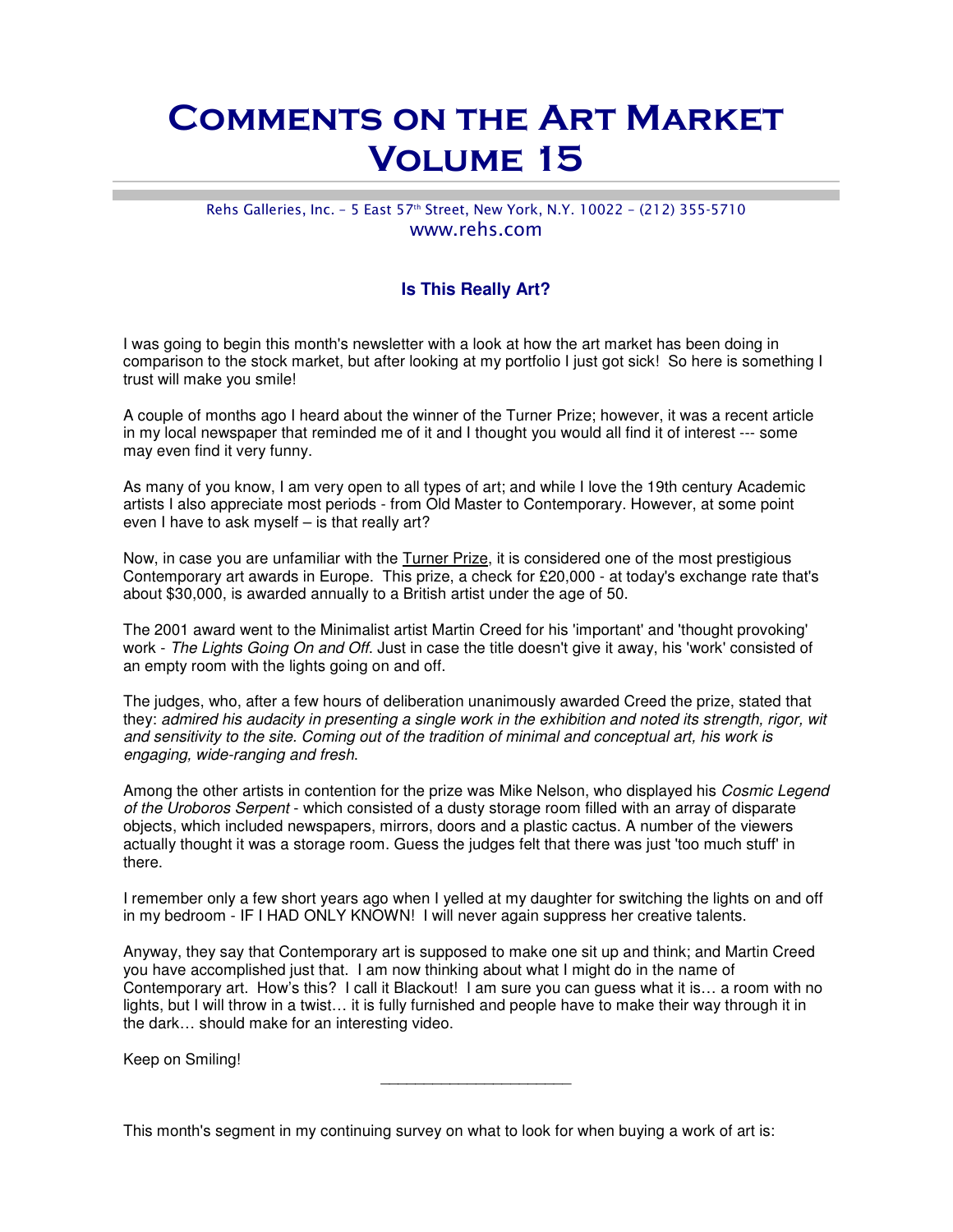## Comments on the Art Market Volume 15

## Rehs Galleries, Inc. - 5 East 57th Street, New York, N.Y. 10022 - (212) 355-5710 www.rehs.com

## **Is This Really Art?**

I was going to begin this month's newsletter with a look at how the art market has been doing in comparison to the stock market, but after looking at my portfolio I just got sick! So here is something I trust will make you smile!

A couple of months ago I heard about the winner of the Turner Prize; however, it was a recent article in my local newspaper that reminded me of it and I thought you would all find it of interest --- some may even find it very funny.

As many of you know, I am very open to all types of art; and while I love the 19th century Academic artists I also appreciate most periods - from Old Master to Contemporary. However, at some point even I have to ask myself – is that really art?

Now, in case you are unfamiliar with the Turner Prize, it is considered one of the most prestigious Contemporary art awards in Europe. This prize, a check for £20,000 - at today's exchange rate that's about \$30,000, is awarded annually to a British artist under the age of 50.

The 2001 award went to the Minimalist artist Martin Creed for his 'important' and 'thought provoking' work - The Lights Going On and Off. Just in case the title doesn't give it away, his 'work' consisted of an empty room with the lights going on and off.

The judges, who, after a few hours of deliberation unanimously awarded Creed the prize, stated that they: admired his audacity in presenting a single work in the exhibition and noted its strength, rigor, wit and sensitivity to the site. Coming out of the tradition of minimal and conceptual art, his work is engaging, wide-ranging and fresh.

Among the other artists in contention for the prize was Mike Nelson, who displayed his Cosmic Legend of the Uroboros Serpent - which consisted of a dusty storage room filled with an array of disparate objects, which included newspapers, mirrors, doors and a plastic cactus. A number of the viewers actually thought it was a storage room. Guess the judges felt that there was just 'too much stuff' in there.

I remember only a few short years ago when I yelled at my daughter for switching the lights on and off in my bedroom - IF I HAD ONLY KNOWN! I will never again suppress her creative talents.

Anyway, they say that Contemporary art is supposed to make one sit up and think; and Martin Creed you have accomplished just that. I am now thinking about what I might do in the name of Contemporary art. How's this? I call it Blackout! I am sure you can guess what it is… a room with no lights, but I will throw in a twist… it is fully furnished and people have to make their way through it in the dark… should make for an interesting video.

 $\overline{\phantom{a}}$  , where  $\overline{\phantom{a}}$  , where  $\overline{\phantom{a}}$  , where  $\overline{\phantom{a}}$  , where  $\overline{\phantom{a}}$ 

Keep on Smiling!

This month's segment in my continuing survey on what to look for when buying a work of art is: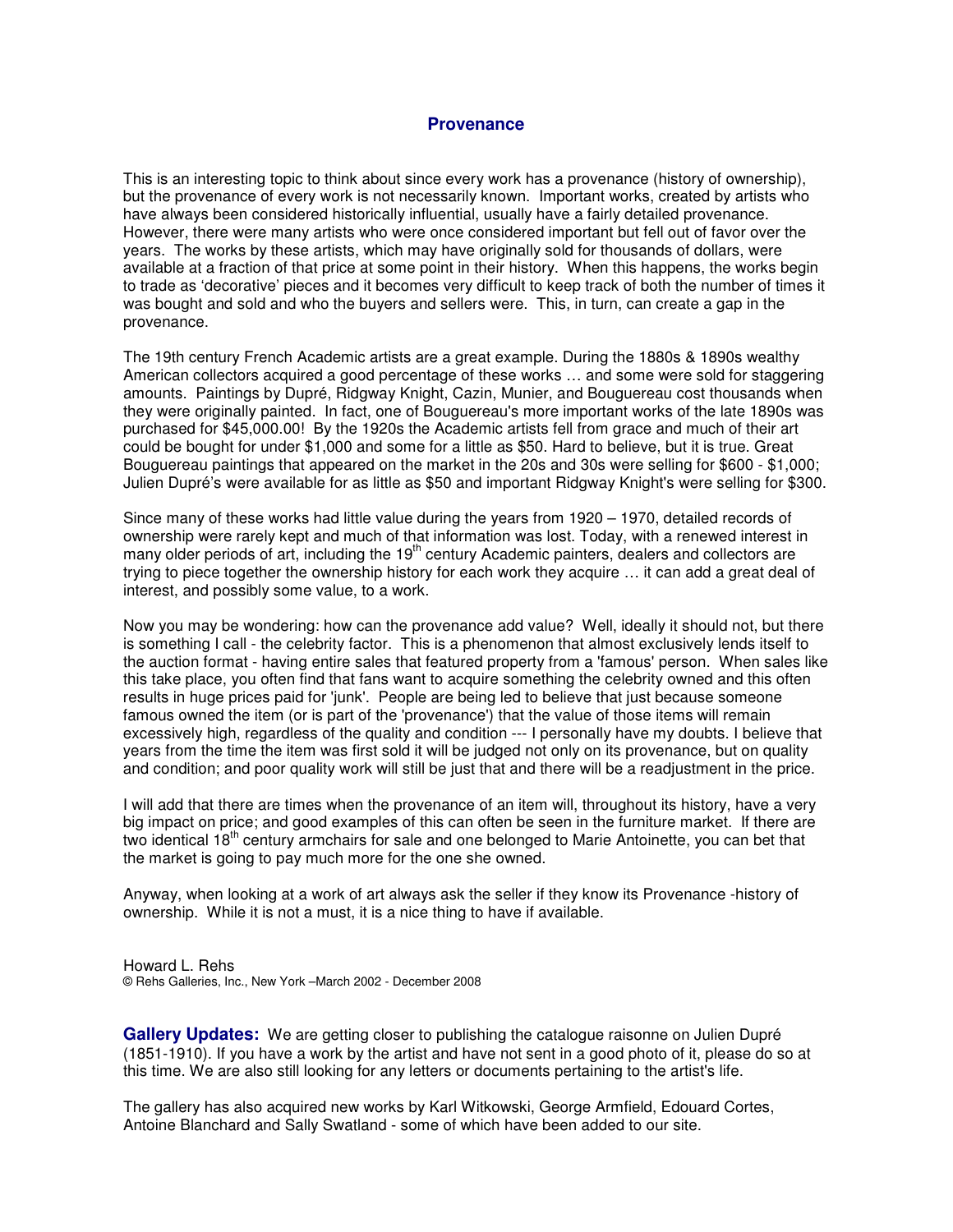## **Provenance**

This is an interesting topic to think about since every work has a provenance (history of ownership), but the provenance of every work is not necessarily known. Important works, created by artists who have always been considered historically influential, usually have a fairly detailed provenance. However, there were many artists who were once considered important but fell out of favor over the years. The works by these artists, which may have originally sold for thousands of dollars, were available at a fraction of that price at some point in their history. When this happens, the works begin to trade as 'decorative' pieces and it becomes very difficult to keep track of both the number of times it was bought and sold and who the buyers and sellers were. This, in turn, can create a gap in the provenance.

The 19th century French Academic artists are a great example. During the 1880s & 1890s wealthy American collectors acquired a good percentage of these works … and some were sold for staggering amounts. Paintings by Dupré, Ridgway Knight, Cazin, Munier, and Bouguereau cost thousands when they were originally painted. In fact, one of Bouguereau's more important works of the late 1890s was purchased for \$45,000.00! By the 1920s the Academic artists fell from grace and much of their art could be bought for under \$1,000 and some for a little as \$50. Hard to believe, but it is true. Great Bouguereau paintings that appeared on the market in the 20s and 30s were selling for \$600 - \$1,000; Julien Dupré's were available for as little as \$50 and important Ridgway Knight's were selling for \$300.

Since many of these works had little value during the years from 1920 – 1970, detailed records of ownership were rarely kept and much of that information was lost. Today, with a renewed interest in many older periods of art, including the 19<sup>th</sup> century Academic painters, dealers and collectors are trying to piece together the ownership history for each work they acquire … it can add a great deal of interest, and possibly some value, to a work.

Now you may be wondering: how can the provenance add value? Well, ideally it should not, but there is something I call - the celebrity factor. This is a phenomenon that almost exclusively lends itself to the auction format - having entire sales that featured property from a 'famous' person. When sales like this take place, you often find that fans want to acquire something the celebrity owned and this often results in huge prices paid for 'junk'. People are being led to believe that just because someone famous owned the item (or is part of the 'provenance') that the value of those items will remain excessively high, regardless of the quality and condition --- I personally have my doubts. I believe that years from the time the item was first sold it will be judged not only on its provenance, but on quality and condition; and poor quality work will still be just that and there will be a readjustment in the price.

I will add that there are times when the provenance of an item will, throughout its history, have a very big impact on price; and good examples of this can often be seen in the furniture market. If there are two identical 18<sup>th</sup> century armchairs for sale and one belonged to Marie Antoinette, you can bet that the market is going to pay much more for the one she owned.

Anyway, when looking at a work of art always ask the seller if they know its Provenance -history of ownership. While it is not a must, it is a nice thing to have if available.

Howard L. Rehs © Rehs Galleries, Inc., New York –March 2002 - December 2008

**Gallery Updates:** We are getting closer to publishing the catalogue raisonne on Julien Dupré (1851-1910). If you have a work by the artist and have not sent in a good photo of it, please do so at this time. We are also still looking for any letters or documents pertaining to the artist's life.

The gallery has also acquired new works by Karl Witkowski, George Armfield, Edouard Cortes, Antoine Blanchard and Sally Swatland - some of which have been added to our site.